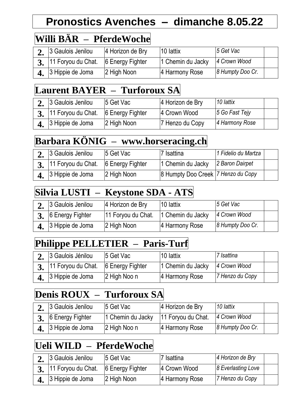## **Pronostics Avenches – dimanche 8.05.22**

# **Willi BÄR – PferdeWoche**

| 3 Gaulois Jenilou                      | 4 Horizon de Bry | 10 lattix         | 5 Get Vac        |  |
|----------------------------------------|------------------|-------------------|------------------|--|
| 3. 11 Foryou du Chat. 6 Energy Fighter |                  | 1 Chemin du Jacky | 4 Crown Wood     |  |
| $\boldsymbol{4}$ , 3 Hippie de Joma    | 2 High Noon      | 4 Harmony Rose    | 8 Humpty Doo Cr. |  |

#### **Laurent BAYER – Turforoux SA**

| 3 Gaulois Jenilou                      | 5 Get Vac   | 4 Horizon de Bry | 10 lattix         |  |
|----------------------------------------|-------------|------------------|-------------------|--|
| 3. 11 Foryou du Chat. 6 Energy Fighter |             | 4 Crown Wood     | $ 5$ Go Fast Tejy |  |
| $\boldsymbol{4}$ , 3 Hippie de Joma    | 2 High Noon | 7 Henzo du Copy  | 4 Harmony Rose    |  |

### **Barbara KÖNIG – www.horseracing.ch**

| 3 Gaulois Jenilou                      | 5 Get Vac   | 7 Isattina                           | 1 Fidelio du Martza |  |
|----------------------------------------|-------------|--------------------------------------|---------------------|--|
| 3. 11 Foryou du Chat. 6 Energy Fighter |             | 1 Chemin du Jacky                    | 2 Baron Dairpet     |  |
| $\bf{4.}$ 3 Hippie de Joma             | 2 High Noon | 8 Humpty Doo Creek   7 Henzo du Copy |                     |  |

### **Silvia LUSTI – Keystone SDA - ATS**

| 3 Gaulois Jenilou          | 4 Horizon de Bry   | 10 lattix         | 5 Get Vac        |  |
|----------------------------|--------------------|-------------------|------------------|--|
| 3. 6 Energy Fighter        | 11 Foryou du Chat. | 1 Chemin du Jacky | 4 Crown Wood     |  |
| $\bf{4.}$ 3 Hippie de Joma | 2 High Noon        | 4 Harmony Rose    | 8 Humpty Doo Cr. |  |

## **Philippe PELLETIER – Paris-Turf**

| 3 Gaulois Jénilou                      | 5 Get Vac    | 10 lattix         | 7 Isattina      |  |
|----------------------------------------|--------------|-------------------|-----------------|--|
| 3. 11 Foryou du Chat. 6 Energy Fighter |              | 1 Chemin du Jacky | 4 Crown Wood    |  |
| $\boldsymbol{4}$ , 3 Hippie de Joma    | 2 High Noo n | 4 Harmony Rose    | 7 Henzo du Copy |  |

#### **Denis ROUX – Turforoux SA**

| 3 Gaulois Jenilou   | 5 Get Vac                              | 4 Horizon de Bry | 10 lattix        |  |
|---------------------|----------------------------------------|------------------|------------------|--|
| 3. 6 Energy Fighter | 1 Chemin du Jacky   11 Foryou du Chat. |                  | 4 Crown Wood     |  |
| 4. 3 Hippie de Joma | 2 High Noo n                           | 4 Harmony Rose   | 8 Humpty Doo Cr. |  |

## **Ueli WILD – PferdeWoche**

| 3 Gaulois Jenilou                                   | 5 Get Vac   | 7 Isattina     | 4 Horizon de Bry   |  |
|-----------------------------------------------------|-------------|----------------|--------------------|--|
| $\frac{1}{3}$ , 11 Foryou du Chat. 6 Energy Fighter |             | 4 Crown Wood   | 8 Everlasting Love |  |
| 3 Hippie de Joma                                    | 2 High Noon | 4 Harmony Rose | 7 Henzo du Copy    |  |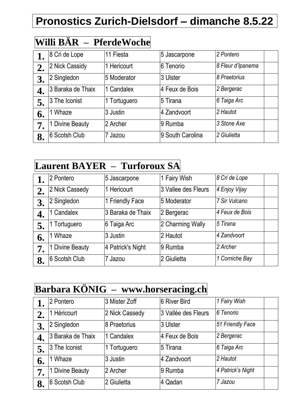# **Pronostics Zurich-Dielsdorf – dimanche 8.5.22**

## **Willi BÄR – PferdeWoche**

|    | 8 Cri de Lope        | 11 Fiesta    | 5 Jascarpone     | 2 Pontero         |
|----|----------------------|--------------|------------------|-------------------|
| 2. | 2 Nick Cassidy       | 1 Hericourt  | 6 Tenorio        | 8 Fleur d'Ipanema |
| 3. | 2 Singledon          | 5 Moderator  | 3 Ulster         | 8 Praetorius      |
| 4. | 3 Baraka de Thaix    | 1 Candalex   | 4 Feux de Bois   | 2 Bergerac        |
| 5. | 3 The Iconist        | 1 Tortuguero | 5 Tirana         | 6 Taiga Arc       |
| 6. | Whaze                | 3 Justin     | 4 Zandvoort      | 2 Hautot          |
| 7. | <b>Divine Beauty</b> | 2 Archer     | 9 Rumba          | 3 Stone Axe       |
| 8. | 6 Scotsh Club        | 7 Jazou      | 9 South Carolina | 2 Giulietta       |

## **Laurent BAYER – Turforoux SA**

|    | 2 Pontero            | 5 Jascarpone      | 1 Fairy Wish        | 8 Cri de Lope  |
|----|----------------------|-------------------|---------------------|----------------|
| 2. | 2 Nick Cassedy       | 1 Hericourt       | 3 Vallee des Fleurs | 4 Enjoy Vijay  |
| 3. | 2 Singledon          | 1 Friendly Face   | 5 Moderator         | 7 Sir Vulcano  |
|    | 1 Candalex           | 3 Baraka de Thaix | 2 Bergerac          | 4 Feux de Bois |
| 5. | Tortuguero           | 6 Taiga Arc       | 2 Charming Wally    | 5 Tirana       |
| 6. | Whaze                | 3 Justin          | 2 Hautot            | 4 Zandvoort    |
| 7. | <b>Divine Beauty</b> | 4 Patrick's Night | 9 Rumba             | 2 Archer       |
| 8. | 6 Scotsh Club        | 7 Jazou           | 2 Giulietta         | 1 Corniche Bay |

## **Barbara KÖNIG – www.horseracing.ch**

|    | 2 Pontero         | 3 Mister Zoff  | 6 River Bird        | 1 Fairy Wish      |
|----|-------------------|----------------|---------------------|-------------------|
| 2. | 1 Héricourt       | 2 Nick Cassedy | 3 Vallée des Fleurs | 6 Tenorio         |
| 3. | 2 Singledon       | 8 Praetorius   | 3 Ulster            | 51 Friendly Face  |
| 4. | 3 Baraka de Thaix | 1 Candalex     | 4 Feux de Bois      | 2 Bergerac        |
| 5. | 3 The Iconist     | Tortuguero     | 5 Tirana            | 6 Taiga Arc       |
| 6. | Whaze             | 3 Justin       | 4 Zandvoort         | 2 Hautot          |
| 7. | 1 Divine Beauty   | 2 Archer       | 9 Rumba             | 4 Patrick's Night |
| 8. | 6 Scotsh Club     | 2 Giulietta    | 4 Qadan             | 7 Jazou           |